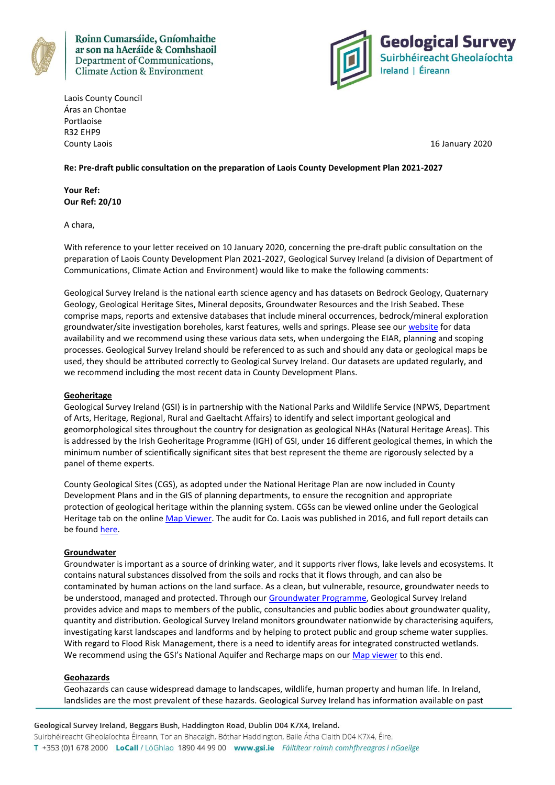

Roinn Cumarsáide, Gníomhaithe ar son na hAeráide & Comhshaoil Department of Communications, **Climate Action & Environment** 



Laois County Council Áras an Chontae Portlaoise R32 EHP9 County Laois 16 January 2020

# **Re: Pre-draft public consultation on the preparation of Laois County Development Plan 2021-2027**

**Your Ref: Our Ref: 20/10**

A chara,

With reference to your letter received on 10 January 2020, concerning the pre-draft public consultation on the preparation of Laois County Development Plan 2021-2027, Geological Survey Ireland (a division of Department of Communications, Climate Action and Environment) would like to make the following comments:

Geological Survey Ireland is the national earth science agency and has datasets on Bedrock Geology, Quaternary Geology, Geological Heritage Sites, Mineral deposits, Groundwater Resources and the Irish Seabed. These comprise maps, reports and extensive databases that include mineral occurrences, bedrock/mineral exploration groundwater/site investigation boreholes, karst features, wells and springs. Please see our [website](http://www.gsi.ie/) for data availability and we recommend using these various data sets, when undergoing the EIAR, planning and scoping processes. Geological Survey Ireland should be referenced to as such and should any data or geological maps be used, they should be attributed correctly to Geological Survey Ireland. Our datasets are updated regularly, and we recommend including the most recent data in County Development Plans.

# **Geoheritage**

Geological Survey Ireland (GSI) is in partnership with the National Parks and Wildlife Service (NPWS, Department of Arts, Heritage, Regional, Rural and Gaeltacht Affairs) to identify and select important geological and geomorphological sites throughout the country for designation as geological NHAs (Natural Heritage Areas). This is addressed by the Irish Geoheritage Programme (IGH) of GSI, under 16 different geological themes, in which the minimum number of scientifically significant sites that best represent the theme are rigorously selected by a panel of theme experts.

County Geological Sites (CGS), as adopted under the National Heritage Plan are now included in County Development Plans and in the GIS of planning departments, to ensure the recognition and appropriate protection of geological heritage within the planning system. CGSs can be viewed online under the Geological Heritage tab on the online [Map Viewer.](http://dcenr.maps.arcgis.com/apps/MapSeries/index.html?appid=a30af518e87a4c0ab2fbde2aaac3c228) The audit for Co. Laois was published in 2016, and full report details can be foun[d here.](https://www.gsi.ie/en-ie/publications/Pages/The-Geological-Heritage-of-Loais.aspx)

#### **Groundwater**

Groundwater is important as a source of drinking water, and it supports river flows, lake levels and ecosystems. It contains natural substances dissolved from the soils and rocks that it flows through, and can also be contaminated by human actions on the land surface. As a clean, but vulnerable, resource, groundwater needs to be understood, managed and protected. Through our [Groundwater Programme,](https://www.gsi.ie/en-ie/programmes-and-projects/groundwater/Pages/default.aspx) Geological Survey Ireland provides advice and maps to members of the public, consultancies and public bodies about groundwater quality, quantity and distribution. Geological Survey Ireland monitors groundwater nationwide by characterising aquifers, investigating karst landscapes and landforms and by helping to protect public and group scheme water supplies. With regard to Flood Risk Management, there is a need to identify areas for integrated constructed wetlands. We recommend using the GSI's National Aquifer and Recharge maps on our [Map viewer](https://dcenr.maps.arcgis.com/apps/MapSeries/index.html?appid=a30af518e87a4c0ab2fbde2aaac3c228) to this end.

## **Geohazards**

Geohazards can cause widespread damage to landscapes, wildlife, human property and human life. In Ireland, landslides are the most prevalent of these hazards. Geological Survey Ireland has information available on past

Geological Survey Ireland, Beggars Bush, Haddington Road, Dublin D04 K7X4, Ireland.